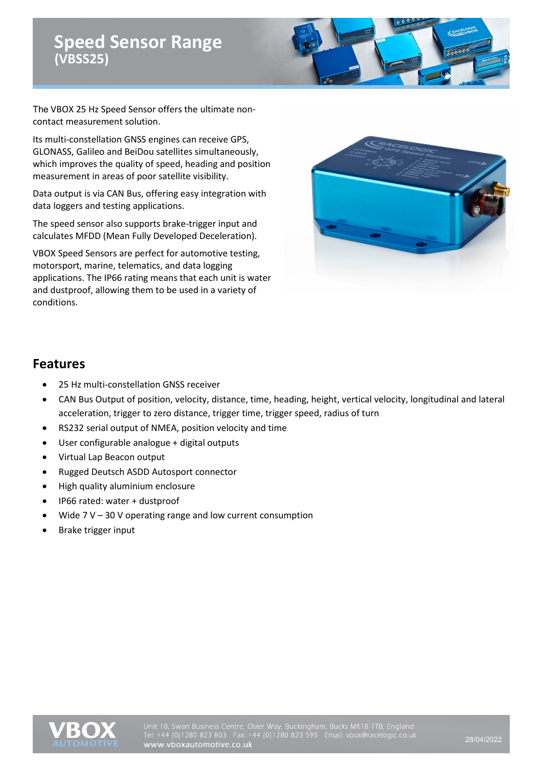

The VBOX 25 Hz Speed Sensor offers the ultimate noncontact measurement solution.

Its multi-constellation GNSS engines can receive GPS, GLONASS, Galileo and BeiDou satellites simultaneously, which improves the quality of speed, heading and position measurement in areas of poor satellite visibility.

Data output is via CAN Bus, offering easy integration with data loggers and testing applications.

The speed sensor also supports brake-trigger input and calculates MFDD (Mean Fully Developed Deceleration).

VBOX Speed Sensors are perfect for automotive testing, motorsport, marine, telematics, and data logging applications. The IP66 rating means that each unit is water and dustproof, allowing them to be used in a variety of conditions.



#### **Features**

- 25 Hz multi-constellation GNSS receiver
- CAN Bus Output of position, velocity, distance, time, heading, height, vertical velocity, longitudinal and lateral acceleration, trigger to zero distance, trigger time, trigger speed, radius of turn
- RS232 serial output of NMEA, position velocity and time
- User configurable analogue + digital outputs
- Virtual Lap Beacon output
- Rugged Deutsch ASDD Autosport connector
- High quality aluminium enclosure
- IP66 rated: water + dustproof
- Wide  $7 V 30 V$  operating range and low current consumption
- Brake trigger input

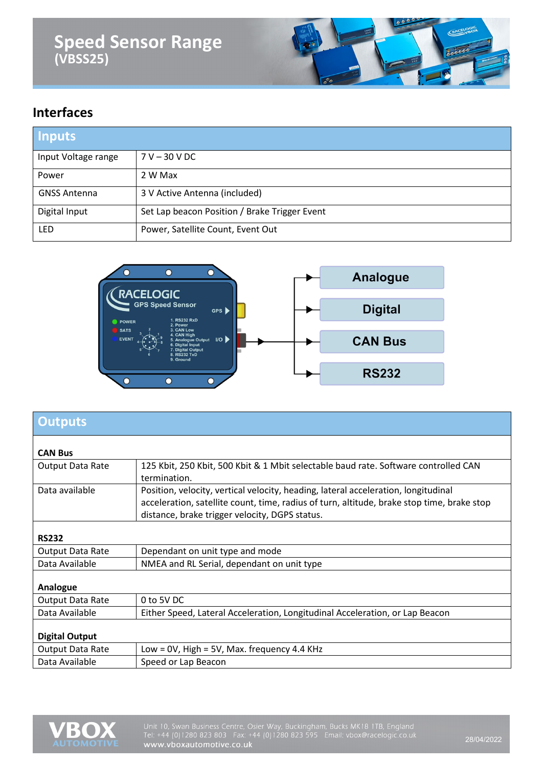

### **Interfaces**

| <b>Inputs</b>       |                                               |
|---------------------|-----------------------------------------------|
| Input Voltage range | $7 V - 30 V DC$                               |
| Power               | 2 W Max                                       |
| <b>GNSS Antenna</b> | 3 V Active Antenna (included)                 |
| Digital Input       | Set Lap beacon Position / Brake Trigger Event |
| <b>LED</b>          | Power, Satellite Count, Event Out             |



| <b>Outputs</b>        |                                                                                            |
|-----------------------|--------------------------------------------------------------------------------------------|
|                       |                                                                                            |
| <b>CAN Bus</b>        |                                                                                            |
| Output Data Rate      | 125 Kbit, 250 Kbit, 500 Kbit & 1 Mbit selectable baud rate. Software controlled CAN        |
|                       | termination.                                                                               |
| Data available        | Position, velocity, vertical velocity, heading, lateral acceleration, longitudinal         |
|                       | acceleration, satellite count, time, radius of turn, altitude, brake stop time, brake stop |
|                       | distance, brake trigger velocity, DGPS status.                                             |
|                       |                                                                                            |
| <b>RS232</b>          |                                                                                            |
| Output Data Rate      | Dependant on unit type and mode                                                            |
| Data Available        | NMEA and RL Serial, dependant on unit type                                                 |
|                       |                                                                                            |
| Analogue              |                                                                                            |
| Output Data Rate      | 0 to 5V DC                                                                                 |
| Data Available        | Either Speed, Lateral Acceleration, Longitudinal Acceleration, or Lap Beacon               |
|                       |                                                                                            |
| <b>Digital Output</b> |                                                                                            |
| Output Data Rate      | Low = $0V$ , High = $5V$ , Max. frequency 4.4 KHz                                          |
| Data Available        | Speed or Lap Beacon                                                                        |

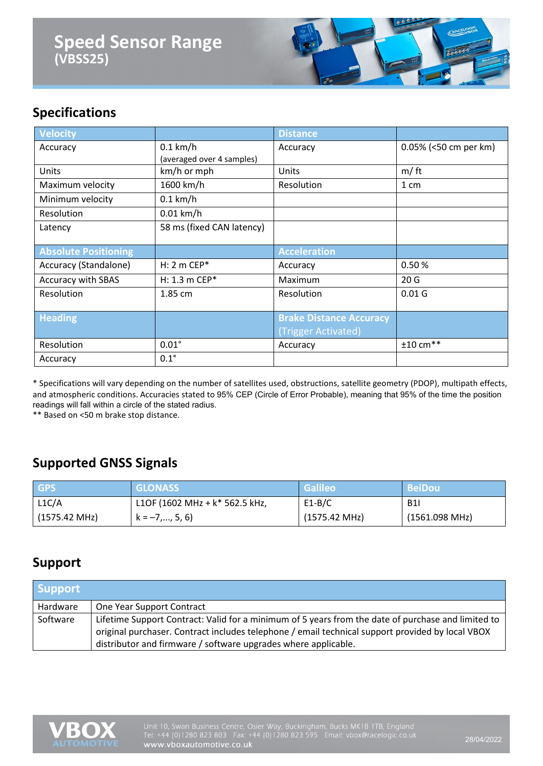

## **Specifications**

| <b>Velocity</b>             |                                         | <b>Distance</b>                                       |                        |
|-----------------------------|-----------------------------------------|-------------------------------------------------------|------------------------|
| Accuracy                    | $0.1$ km/h<br>(averaged over 4 samples) | Accuracy                                              | 0.05% (<50 cm per km)  |
| Units                       | km/h or mph                             | Units                                                 | m/ft                   |
| Maximum velocity            | 1600 km/h                               | Resolution                                            | 1 cm                   |
| Minimum velocity            | $0.1$ km/h                              |                                                       |                        |
| Resolution                  | $0.01$ km/h                             |                                                       |                        |
| Latency                     | 58 ms (fixed CAN latency)               |                                                       |                        |
|                             |                                         |                                                       |                        |
| <b>Absolute Positioning</b> |                                         | <b>Acceleration</b>                                   |                        |
| Accuracy (Standalone)       | $H: 2 m CEP*$                           | Accuracy                                              | 0.50%                  |
| <b>Accuracy with SBAS</b>   | $H: 1.3 m$ CEP*                         | Maximum                                               | 20 <sub>G</sub>        |
| Resolution                  | 1.85 cm                                 | Resolution                                            | 0.01 <sub>G</sub>      |
| <b>Heading</b>              |                                         | <b>Brake Distance Accuracy</b><br>(Trigger Activated) |                        |
| Resolution                  | $0.01^\circ$                            | Accuracy                                              | $±10$ cm <sup>**</sup> |

\* Specifications will vary depending on the number of satellites used, obstructions, satellite geometry (PDOP), multipath effects, and atmospheric conditions. Accuracies stated to 95% CEP (Circle of Error Probable), meaning that 95% of the time the position readings will fall within a circle of the stated radius.

\*\* Based on <50 m brake stop distance.

#### **Supported GNSS Signals**

| <b>GPS</b>    | <b>GLONASS</b>                   | Galileo                 | <b>BeiDou</b>  |
|---------------|----------------------------------|-------------------------|----------------|
| L1C/A         | L1OF (1602 MHz + $k*$ 562.5 kHz, | $E1-B/C$                | <b>B1I</b>     |
| (1575.42 MHz) | $k = -7, , 5, 6$                 | $(1575.42 \text{ MHz})$ | (1561.098 MHz) |

#### **Support**

| <b>Support</b> |                                                                                                                                                                                                                                                                          |
|----------------|--------------------------------------------------------------------------------------------------------------------------------------------------------------------------------------------------------------------------------------------------------------------------|
| Hardware       | One Year Support Contract                                                                                                                                                                                                                                                |
| Software       | Lifetime Support Contract: Valid for a minimum of 5 years from the date of purchase and limited to<br>original purchaser. Contract includes telephone / email technical support provided by local VBOX<br>distributor and firmware / software upgrades where applicable. |